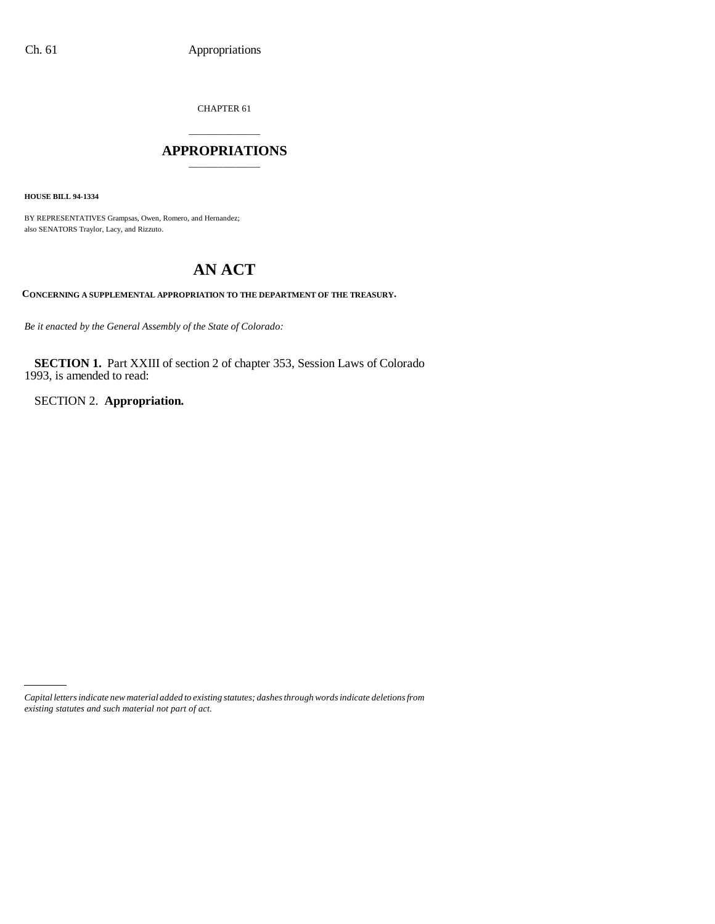CHAPTER 61

# \_\_\_\_\_\_\_\_\_\_\_\_\_\_\_ **APPROPRIATIONS** \_\_\_\_\_\_\_\_\_\_\_\_\_\_\_

**HOUSE BILL 94-1334**

BY REPRESENTATIVES Grampsas, Owen, Romero, and Hernandez; also SENATORS Traylor, Lacy, and Rizzuto.

# **AN ACT**

**CONCERNING A SUPPLEMENTAL APPROPRIATION TO THE DEPARTMENT OF THE TREASURY.**

*Be it enacted by the General Assembly of the State of Colorado:*

**SECTION 1.** Part XXIII of section 2 of chapter 353, Session Laws of Colorado 1993, is amended to read:

SECTION 2. **Appropriation.**

*Capital letters indicate new material added to existing statutes; dashes through words indicate deletions from existing statutes and such material not part of act.*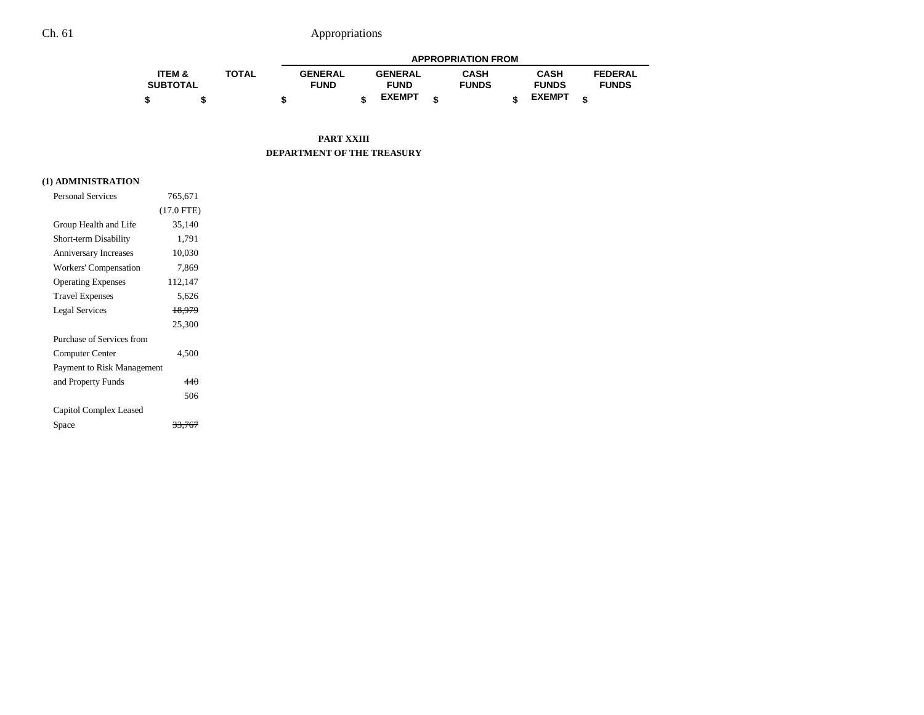# Ch. 61 Appropriations

|                   |              | <b>APPROPRIATION FROM</b> |  |                |   |              |  |               |  |                |
|-------------------|--------------|---------------------------|--|----------------|---|--------------|--|---------------|--|----------------|
| <b>ITEM &amp;</b> | <b>TOTAL</b> | <b>GENERAL</b>            |  | <b>GENERAL</b> |   | CASH         |  | <b>CASH</b>   |  | <b>FEDERAL</b> |
| <b>SUBTOTAL</b>   |              | <b>FUND</b>               |  | <b>FUND</b>    |   | <b>FUNDS</b> |  | <b>FUNDS</b>  |  | <b>FUNDS</b>   |
|                   |              |                           |  | <b>EXEMPT</b>  | ¢ |              |  | <b>EXEMPT</b> |  |                |

### **PART XXIII DEPARTMENT OF THE TREASURY**

## **(1) ADMINISTRATION**

| <b>Personal Services</b>     | 765.671      |  |
|------------------------------|--------------|--|
|                              | $(17.0$ FTE) |  |
| Group Health and Life        | 35,140       |  |
| Short-term Disability        | 1,791        |  |
| <b>Anniversary Increases</b> | 10,030       |  |
| Workers' Compensation        | 7,869        |  |
| <b>Operating Expenses</b>    | 112,147      |  |
| <b>Travel Expenses</b>       | 5,626        |  |
| <b>Legal Services</b>        | 18,979       |  |
|                              | 25,300       |  |
| Purchase of Services from    |              |  |
| Computer Center              | 4,500        |  |
| Payment to Risk Management   |              |  |
| and Property Funds           | 440          |  |
|                              | 506          |  |
| Capitol Complex Leased       |              |  |
| Space                        |              |  |
|                              |              |  |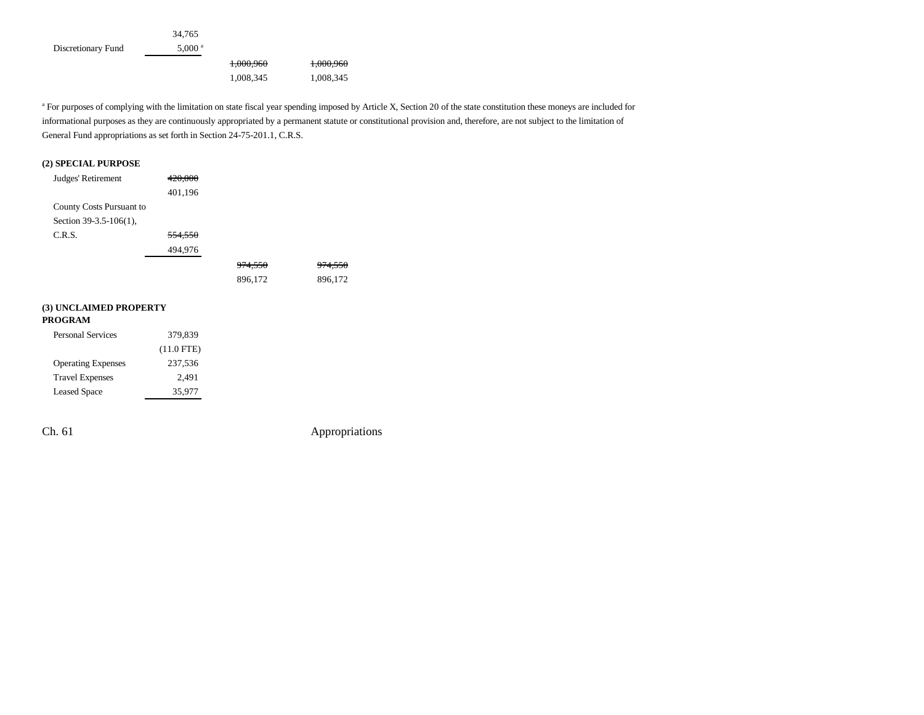|                    | 34.765             |           |           |
|--------------------|--------------------|-----------|-----------|
| Discretionary Fund | 5.000 <sup>a</sup> |           |           |
|                    |                    | 1,000,960 | 1,000,960 |
|                    |                    | 1,008,345 | 1,008,345 |

<sup>a</sup> For purposes of complying with the limitation on state fiscal year spending imposed by Article X, Section 20 of the state constitution these moneys are included for informational purposes as they are continuously appropriated by a permanent statute or constitutional provision and, therefore, are not subject to the limitation of General Fund appropriations as set forth in Section 24-75-201.1, C.R.S.

### **(2) SPECIAL PURPOSE**

| Judges' Retirement       | 420,000 |                    |                    |
|--------------------------|---------|--------------------|--------------------|
|                          | 401,196 |                    |                    |
| County Costs Pursuant to |         |                    |                    |
| Section 39-3.5-106(1),   |         |                    |                    |
| C.R.S.                   | 554,550 |                    |                    |
|                          | 494,976 |                    |                    |
|                          |         | <del>974.550</del> | <del>974.550</del> |
|                          |         | 896,172            | 896,172            |
|                          |         |                    |                    |
| (3) UNCLAIMED PROPERTY   |         |                    |                    |
| <b>PROGRAM</b>           |         |                    |                    |

| ROGRAM                    |              |
|---------------------------|--------------|
| <b>Personal Services</b>  | 379,839      |
|                           | $(11.0$ FTE) |
| <b>Operating Expenses</b> | 237.536      |
| <b>Travel Expenses</b>    | 2.491        |

Leased Space 35,977

Ch. 61 Appropriations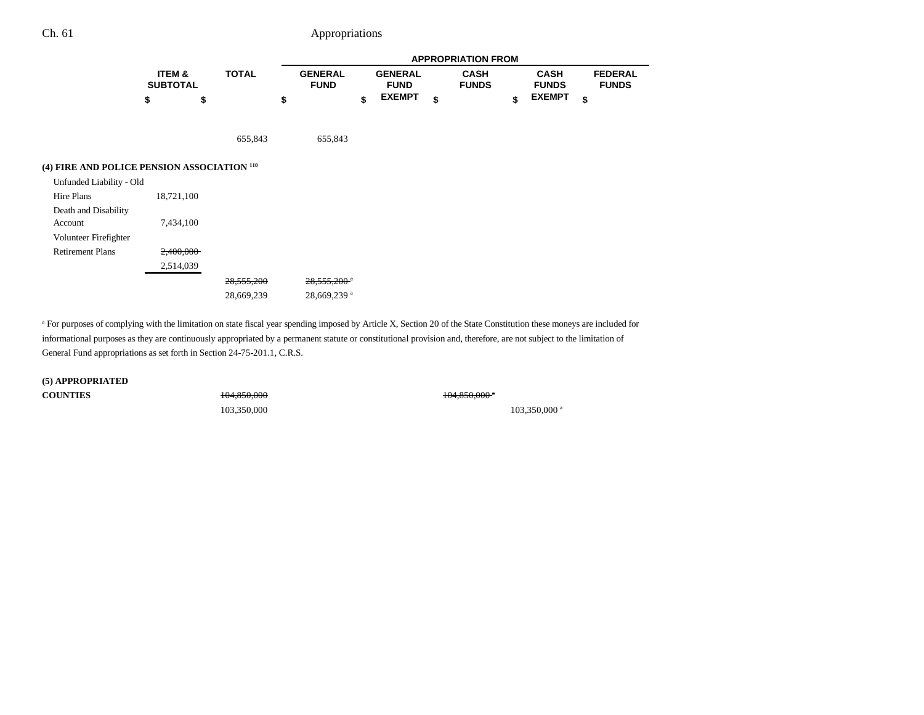# Ch. 61 Appropriations

|                                                        |                           |              |    |                               |                                                |  |    | <b>APPROPRIATION FROM</b>   |    |                                              |                                |
|--------------------------------------------------------|---------------------------|--------------|----|-------------------------------|------------------------------------------------|--|----|-----------------------------|----|----------------------------------------------|--------------------------------|
|                                                        | ITEM &<br><b>SUBTOTAL</b> | <b>TOTAL</b> |    | <b>GENERAL</b><br><b>FUND</b> | <b>GENERAL</b><br><b>FUND</b><br><b>EXEMPT</b> |  |    | <b>CASH</b><br><b>FUNDS</b> |    | <b>CASH</b><br><b>FUNDS</b><br><b>EXEMPT</b> | <b>FEDERAL</b><br><b>FUNDS</b> |
|                                                        | \$<br>\$                  |              | \$ |                               | \$                                             |  | \$ |                             | \$ |                                              | \$                             |
|                                                        |                           | 655,843      |    | 655,843                       |                                                |  |    |                             |    |                                              |                                |
| (4) FIRE AND POLICE PENSION ASSOCIATION <sup>110</sup> |                           |              |    |                               |                                                |  |    |                             |    |                                              |                                |
| Unfunded Liability - Old                               |                           |              |    |                               |                                                |  |    |                             |    |                                              |                                |
| Hire Plans                                             | 18,721,100                |              |    |                               |                                                |  |    |                             |    |                                              |                                |
| Death and Disability                                   |                           |              |    |                               |                                                |  |    |                             |    |                                              |                                |
| Account                                                | 7,434,100                 |              |    |                               |                                                |  |    |                             |    |                                              |                                |
| Volunteer Firefighter                                  |                           |              |    |                               |                                                |  |    |                             |    |                                              |                                |
| <b>Retirement Plans</b>                                | 2,400,000                 |              |    |                               |                                                |  |    |                             |    |                                              |                                |
|                                                        | 2,514,039                 |              |    |                               |                                                |  |    |                             |    |                                              |                                |
|                                                        |                           | 28,555,200   |    | $28,555,200$ <sup>a</sup>     |                                                |  |    |                             |    |                                              |                                |
|                                                        |                           | 28,669,239   |    | 28,669,239 <sup>a</sup>       |                                                |  |    |                             |    |                                              |                                |
|                                                        |                           |              |    |                               |                                                |  |    |                             |    |                                              |                                |

<sup>a</sup> For purposes of complying with the limitation on state fiscal year spending imposed by Article X, Section 20 of the State Constitution these moneys are included for informational purposes as they are continuously appropriated by a permanent statute or constitutional provision and, therefore, are not subject to the limitation of General Fund appropriations as set forth in Section 24-75-201.1, C.R.S.

**(5) APPROPRIATED COUNTIES**

104,850,000 104,850,000 104,850,000 104,850,000 104,850,000 104,850,000 104,850,000 104,850,000 104,850,000 1

103,350,000 <sup>a</sup> 103,350,000 <sup>a</sup>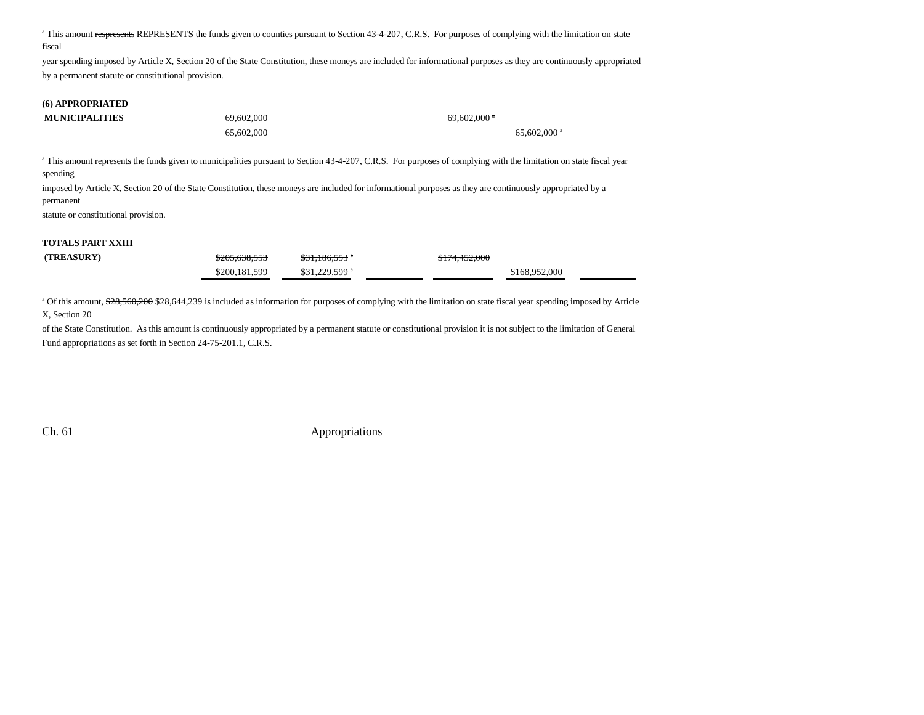<sup>a</sup> This amount respresents REPRESENTS the funds given to counties pursuant to Section 43-4-207, C.R.S. For purposes of complying with the limitation on state fiscal

year spending imposed by Article X, Section 20 of the State Constitution, these moneys are included for informational purposes as they are continuously appropriated by a permanent statute or constitutional provision.

# **(6) APPROPRIATED**

| <b>MUNICIPALITIES</b> | $\epsilon$ 0.402.000<br><del>02.002.000</del> | $\epsilon$ 0.402.000 $\epsilon$<br>02.002.000 |  |  |
|-----------------------|-----------------------------------------------|-----------------------------------------------|--|--|
|                       | 65,602,000                                    | $65,602,000$ <sup>a</sup>                     |  |  |

<sup>a</sup> This amount represents the funds given to municipalities pursuant to Section 43-4-207, C.R.S. For purposes of complying with the limitation on state fiscal year spending

imposed by Article X, Section 20 of the State Constitution, these moneys are included for informational purposes as they are continuously appropriated by a permanent

statute or constitutional provision.

### **TOTALS PART XXIII**

| (TREASURY) | \$205,638,553 | $$31,186,553$ $"$          | \$174,452,000 |  |
|------------|---------------|----------------------------|---------------|--|
|            | \$200,181,599 | $$31.229.599$ <sup>a</sup> | \$168,952,000 |  |

<sup>a</sup> Of this amount, \$28,560,200 \$28,644,239 is included as information for purposes of complying with the limitation on state fiscal year spending imposed by Article X, Section 20

of the State Constitution. As this amount is continuously appropriated by a permanent statute or constitutional provision it is not subject to the limitation of General Fund appropriations as set forth in Section 24-75-201.1, C.R.S.

Ch. 61 Appropriations